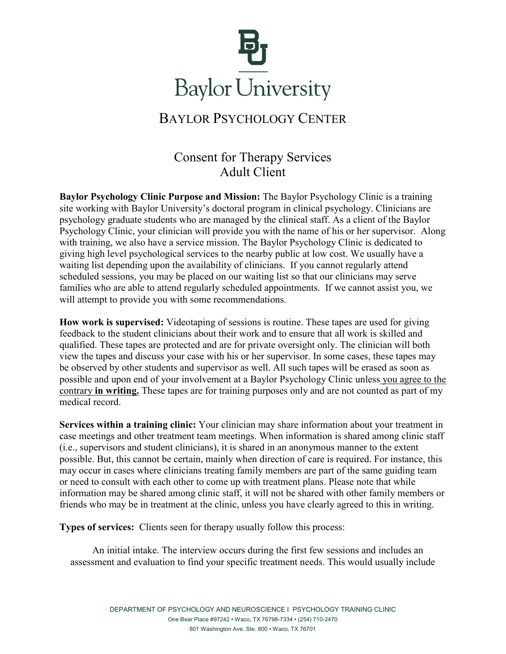

## BAYLOR PSYCHOLOGY CENTER

## Consent for Therapy Services Adult Client

**Baylor Psychology Clinic Purpose and Mission:** The Baylor Psychology Clinic is a training site working with Baylor University's doctoral program in clinical psychology. Clinicians are psychology graduate students who are managed by the clinical staff. As a client of the Baylor Psychology Clinic, your clinician will provide you with the name of his or her supervisor. Along with training, we also have a service mission. The Baylor Psychology Clinic is dedicated to giving high level psychological services to the nearby public at low cost. We usually have a waiting list depending upon the availability of clinicians. If you cannot regularly attend scheduled sessions, you may be placed on our waiting list so that our clinicians may serve families who are able to attend regularly scheduled appointments. If we cannot assist you, we will attempt to provide you with some recommendations.

**How work is supervised:** Videotaping of sessions is routine. These tapes are used for giving feedback to the student clinicians about their work and to ensure that all work is skilled and qualified. These tapes are protected and are for private oversight only. The clinician will both view the tapes and discuss your case with his or her supervisor. In some cases, these tapes may be observed by other students and supervisor as well. All such tapes will be erased as soon as possible and upon end of your involvement at a Baylor Psychology Clinic unless you agree to the contrary **in writing.** These tapes are for training purposes only and are not counted as part of my medical record.

**Services within a training clinic:** Your clinician may share information about your treatment in case meetings and other treatment team meetings. When information is shared among clinic staff (i.e., supervisors and student clinicians), it is shared in an anonymous manner to the extent possible. But, this cannot be certain, mainly when direction of care is required. For instance, this may occur in cases where clinicians treating family members are part of the same guiding team or need to consult with each other to come up with treatment plans. Please note that while information may be shared among clinic staff, it will not be shared with other family members or friends who may be in treatment at the clinic, unless you have clearly agreed to this in writing.

**Types of services:** Clients seen for therapy usually follow this process:

 An initial intake. The interview occurs during the first few sessions and includes an assessment and evaluation to find your specific treatment needs. This would usually include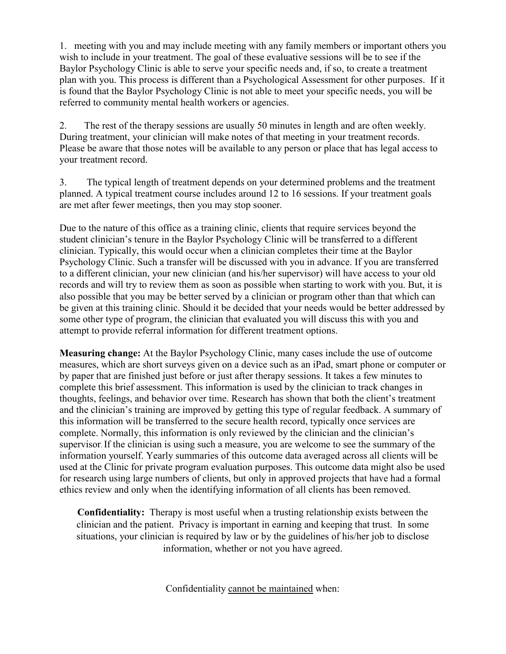1. meeting with you and may include meeting with any family members or important others you wish to include in your treatment. The goal of these evaluative sessions will be to see if the Baylor Psychology Clinic is able to serve your specific needs and, if so, to create a treatment plan with you. This process is different than a Psychological Assessment for other purposes. If it is found that the Baylor Psychology Clinic is not able to meet your specific needs, you will be referred to community mental health workers or agencies.

2. The rest of the therapy sessions are usually 50 minutes in length and are often weekly. During treatment, your clinician will make notes of that meeting in your treatment records. Please be aware that those notes will be available to any person or place that has legal access to your treatment record.

3. The typical length of treatment depends on your determined problems and the treatment planned. A typical treatment course includes around 12 to 16 sessions. If your treatment goals are met after fewer meetings, then you may stop sooner.

Due to the nature of this office as a training clinic, clients that require services beyond the student clinician's tenure in the Baylor Psychology Clinic will be transferred to a different clinician. Typically, this would occur when a clinician completes their time at the Baylor Psychology Clinic. Such a transfer will be discussed with you in advance. If you are transferred to a different clinician, your new clinician (and his/her supervisor) will have access to your old records and will try to review them as soon as possible when starting to work with you. But, it is also possible that you may be better served by a clinician or program other than that which can be given at this training clinic. Should it be decided that your needs would be better addressed by some other type of program, the clinician that evaluated you will discuss this with you and attempt to provide referral information for different treatment options.

**Measuring change:** At the Baylor Psychology Clinic, many cases include the use of outcome measures, which are short surveys given on a device such as an iPad, smart phone or computer or by paper that are finished just before or just after therapy sessions. It takes a few minutes to complete this brief assessment. This information is used by the clinician to track changes in thoughts, feelings, and behavior over time. Research has shown that both the client's treatment and the clinician's training are improved by getting this type of regular feedback. A summary of this information will be transferred to the secure health record, typically once services are complete. Normally, this information is only reviewed by the clinician and the clinician's supervisor. If the clinician is using such a measure, you are welcome to see the summary of the information yourself. Yearly summaries of this outcome data averaged across all clients will be used at the Clinic for private program evaluation purposes. This outcome data might also be used for research using large numbers of clients, but only in approved projects that have had a formal ethics review and only when the identifying information of all clients has been removed.

**Confidentiality:** Therapy is most useful when a trusting relationship exists between the clinician and the patient. Privacy is important in earning and keeping that trust. In some situations, your clinician is required by law or by the guidelines of his/her job to disclose information, whether or not you have agreed.

Confidentiality cannot be maintained when: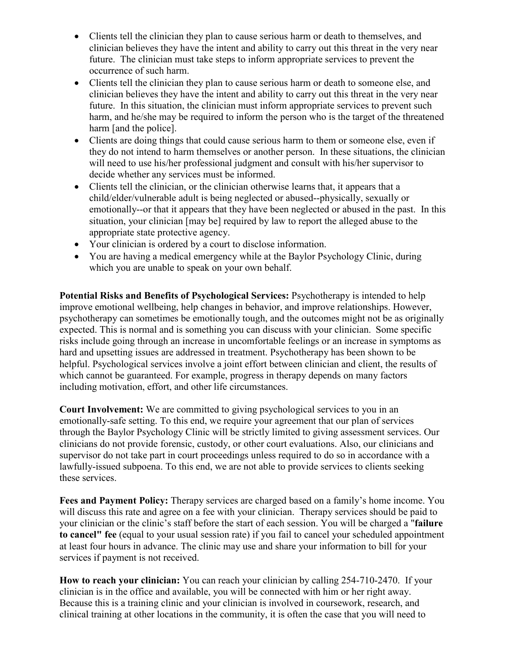- Clients tell the clinician they plan to cause serious harm or death to themselves, and clinician believes they have the intent and ability to carry out this threat in the very near future. The clinician must take steps to inform appropriate services to prevent the occurrence of such harm.
- Clients tell the clinician they plan to cause serious harm or death to someone else, and clinician believes they have the intent and ability to carry out this threat in the very near future. In this situation, the clinician must inform appropriate services to prevent such harm, and he/she may be required to inform the person who is the target of the threatened harm [and the police].
- Clients are doing things that could cause serious harm to them or someone else, even if they do not intend to harm themselves or another person. In these situations, the clinician will need to use his/her professional judgment and consult with his/her supervisor to decide whether any services must be informed.
- Clients tell the clinician, or the clinician otherwise learns that, it appears that a child/elder/vulnerable adult is being neglected or abused--physically, sexually or emotionally--or that it appears that they have been neglected or abused in the past. In this situation, your clinician [may be] required by law to report the alleged abuse to the appropriate state protective agency.
- Your clinician is ordered by a court to disclose information.
- You are having a medical emergency while at the Baylor Psychology Clinic, during which you are unable to speak on your own behalf.

**Potential Risks and Benefits of Psychological Services:** Psychotherapy is intended to help improve emotional wellbeing, help changes in behavior, and improve relationships. However, psychotherapy can sometimes be emotionally tough, and the outcomes might not be as originally expected. This is normal and is something you can discuss with your clinician. Some specific risks include going through an increase in uncomfortable feelings or an increase in symptoms as hard and upsetting issues are addressed in treatment. Psychotherapy has been shown to be helpful. Psychological services involve a joint effort between clinician and client, the results of which cannot be guaranteed. For example, progress in therapy depends on many factors including motivation, effort, and other life circumstances.

**Court Involvement:** We are committed to giving psychological services to you in an emotionally-safe setting. To this end, we require your agreement that our plan of services through the Baylor Psychology Clinic will be strictly limited to giving assessment services. Our clinicians do not provide forensic, custody, or other court evaluations. Also, our clinicians and supervisor do not take part in court proceedings unless required to do so in accordance with a lawfully-issued subpoena. To this end, we are not able to provide services to clients seeking these services.

**Fees and Payment Policy:** Therapy services are charged based on a family's home income. You will discuss this rate and agree on a fee with your clinician. Therapy services should be paid to your clinician or the clinic's staff before the start of each session. You will be charged a "**failure to cancel" fee** (equal to your usual session rate) if you fail to cancel your scheduled appointment at least four hours in advance. The clinic may use and share your information to bill for your services if payment is not received.

**How to reach your clinician:** You can reach your clinician by calling 254-710-2470. If your clinician is in the office and available, you will be connected with him or her right away. Because this is a training clinic and your clinician is involved in coursework, research, and clinical training at other locations in the community, it is often the case that you will need to